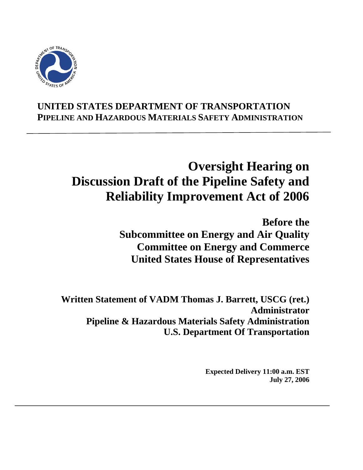

# **UNITED STATES DEPARTMENT OF TRANSPORTATION PIPELINE AND HAZARDOUS MATERIALS SAFETY ADMINISTRATION**

# **Oversight Hearing on Discussion Draft of the Pipeline Safety and Reliability Improvement Act of 2006**

**Before the Subcommittee on Energy and Air Quality Committee on Energy and Commerce United States House of Representatives** 

**Written Statement of VADM Thomas J. Barrett, USCG (ret.) Administrator Pipeline & Hazardous Materials Safety Administration U.S. Department Of Transportation** 

> **Expected Delivery 11:00 a.m. EST July 27, 2006**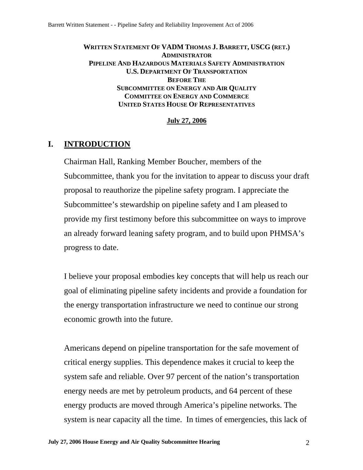#### **WRITTEN STATEMENT OF VADM THOMAS J. BARRETT, USCG (RET.) ADMINISTRATOR PIPELINE AND HAZARDOUS MATERIALS SAFETY ADMINISTRATION U.S. DEPARTMENT OF TRANSPORTATION BEFORE THE SUBCOMMITTEE ON ENERGY AND AIR QUALITY COMMITTEE ON ENERGY AND COMMERCE UNITED STATES HOUSE OF REPRESENTATIVES**

#### **July 27, 2006**

# **I. INTRODUCTION**

Chairman Hall, Ranking Member Boucher, members of the Subcommittee, thank you for the invitation to appear to discuss your draft proposal to reauthorize the pipeline safety program. I appreciate the Subcommittee's stewardship on pipeline safety and I am pleased to provide my first testimony before this subcommittee on ways to improve an already forward leaning safety program, and to build upon PHMSA's progress to date.

I believe your proposal embodies key concepts that will help us reach our goal of eliminating pipeline safety incidents and provide a foundation for the energy transportation infrastructure we need to continue our strong economic growth into the future.

Americans depend on pipeline transportation for the safe movement of critical energy supplies. This dependence makes it crucial to keep the system safe and reliable. Over 97 percent of the nation's transportation energy needs are met by petroleum products, and 64 percent of these energy products are moved through America's pipeline networks. The system is near capacity all the time. In times of emergencies, this lack of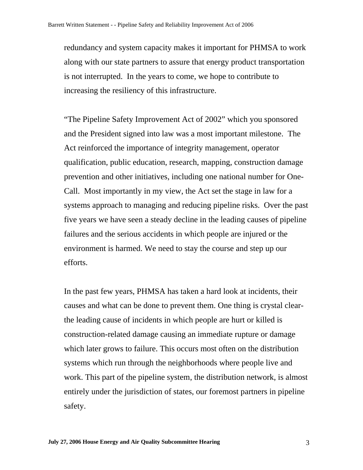redundancy and system capacity makes it important for PHMSA to work along with our state partners to assure that energy product transportation is not interrupted. In the years to come, we hope to contribute to increasing the resiliency of this infrastructure.

"The Pipeline Safety Improvement Act of 2002" which you sponsored and the President signed into law was a most important milestone. The Act reinforced the importance of integrity management, operator qualification, public education, research, mapping, construction damage prevention and other initiatives, including one national number for One-Call. Most importantly in my view, the Act set the stage in law for a systems approach to managing and reducing pipeline risks. Over the past five years we have seen a steady decline in the leading causes of pipeline failures and the serious accidents in which people are injured or the environment is harmed. We need to stay the course and step up our efforts.

In the past few years, PHMSA has taken a hard look at incidents, their causes and what can be done to prevent them. One thing is crystal clearthe leading cause of incidents in which people are hurt or killed is construction-related damage causing an immediate rupture or damage which later grows to failure. This occurs most often on the distribution systems which run through the neighborhoods where people live and work. This part of the pipeline system, the distribution network, is almost entirely under the jurisdiction of states, our foremost partners in pipeline safety.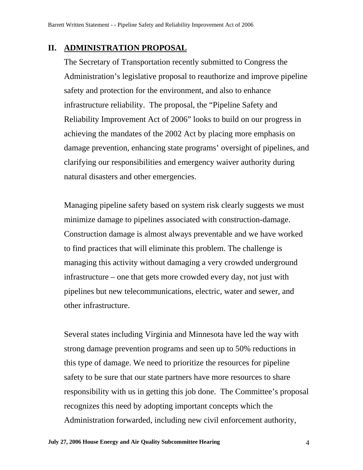### **II. ADMINISTRATION PROPOSAL**

The Secretary of Transportation recently submitted to Congress the Administration's legislative proposal to reauthorize and improve pipeline safety and protection for the environment, and also to enhance infrastructure reliability. The proposal, the "Pipeline Safety and Reliability Improvement Act of 2006" looks to build on our progress in achieving the mandates of the 2002 Act by placing more emphasis on damage prevention, enhancing state programs' oversight of pipelines, and clarifying our responsibilities and emergency waiver authority during natural disasters and other emergencies.

Managing pipeline safety based on system risk clearly suggests we must minimize damage to pipelines associated with construction-damage. Construction damage is almost always preventable and we have worked to find practices that will eliminate this problem. The challenge is managing this activity without damaging a very crowded underground infrastructure – one that gets more crowded every day, not just with pipelines but new telecommunications, electric, water and sewer, and other infrastructure.

Several states including Virginia and Minnesota have led the way with strong damage prevention programs and seen up to 50% reductions in this type of damage. We need to prioritize the resources for pipeline safety to be sure that our state partners have more resources to share responsibility with us in getting this job done. The Committee's proposal recognizes this need by adopting important concepts which the Administration forwarded, including new civil enforcement authority,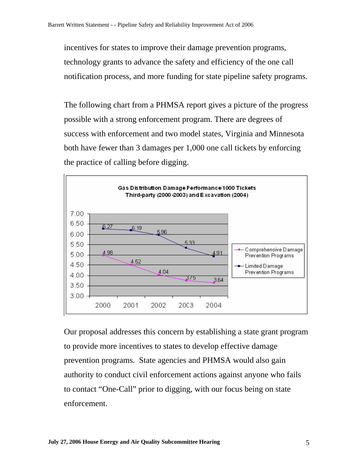incentives for states to improve their damage prevention programs, technology grants to advance the safety and efficiency of the one call notification process, and more funding for state pipeline safety programs.

The following chart from a PHMSA report gives a picture of the progress possible with a strong enforcement program. There are degrees of success with enforcement and two model states, Virginia and Minnesota both have fewer than 3 damages per 1,000 one call tickets by enforcing the practice of calling before digging.



Our proposal addresses this concern by establishing a state grant program to provide more incentives to states to develop effective damage prevention programs. State agencies and PHMSA would also gain authority to conduct civil enforcement actions against anyone who fails to contact "One-Call" prior to digging, with our focus being on state enforcement.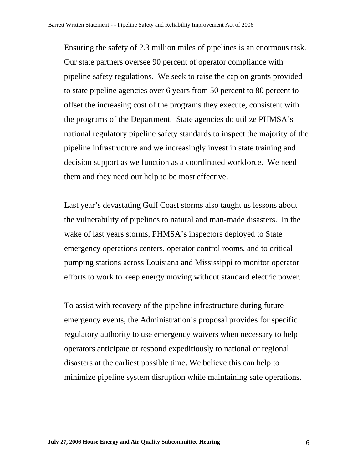Ensuring the safety of 2.3 million miles of pipelines is an enormous task. Our state partners oversee 90 percent of operator compliance with pipeline safety regulations. We seek to raise the cap on grants provided offset the increasing cost of the programs they execute, consistent with the programs of the Department. State agencies do utilize PHMSA's national regulatory pipeline safety standards to inspect the majority of the decision support as we function as a coordinated workforce. We need them and they need our help to be most effective. to state pipeline agencies over 6 years from 50 percent to 80 percent to pipeline infrastructure and we increasingly invest in state training and

Last year's devastating Gulf Coast storms also taught us lessons about pumping stations across Louisiana and Mississippi to monitor operator the vulnerability of pipelines to natural and man-made disasters. In the wake of last years storms, PHMSA's inspectors deployed to State emergency operations centers, operator control rooms, and to critical efforts to work to keep energy moving without standard electric power.

emergency events, the Administration's proposal provides for specific regulatory authority to use emergency waivers when necessary to help minimize pipeline system disruption while maintaining safe operations. To assist with recovery of the pipeline infrastructure during future operators anticipate or respond expeditiously to national or regional disasters at the earliest possible time. We believe this can help to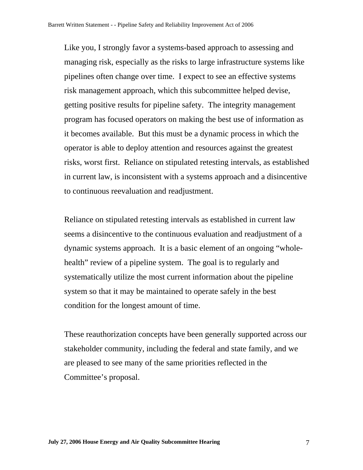Like you, I strongly favor a systems-based approach to assessing and getting positive results for pipeline safety. The integrity management program has focused operators on making the best use of information as operator is able to deploy attention and resources against the greatest risks, worst first. Reliance on stipulated retesting intervals, as established in current law, is inconsistent with a systems approach and a disincentive managing risk, especially as the risks to large infrastructure systems like pipelines often change over time. I expect to see an effective systems risk management approach, which this subcommittee helped devise, it becomes available. But this must be a dynamic process in which the to continuous reevaluation and readjustment.

Reliance on stipulated retesting intervals as established in current law seems a disincentive to the continuous evaluation and readjustment of a dynamic systems approach. It is a basic element of an ongoing "wholehealth" review of a pipeline system. The goal is to regularly and systematically utilize the most current information about the pipeline system so that it may be maintained to operate safely in the best condition for the longest amount of time.

These reauthorization concepts have been generally supported across our stakeholder community, including the federal and state family, and we are pleased to see many of the same priorities reflected in the Committee's proposal.